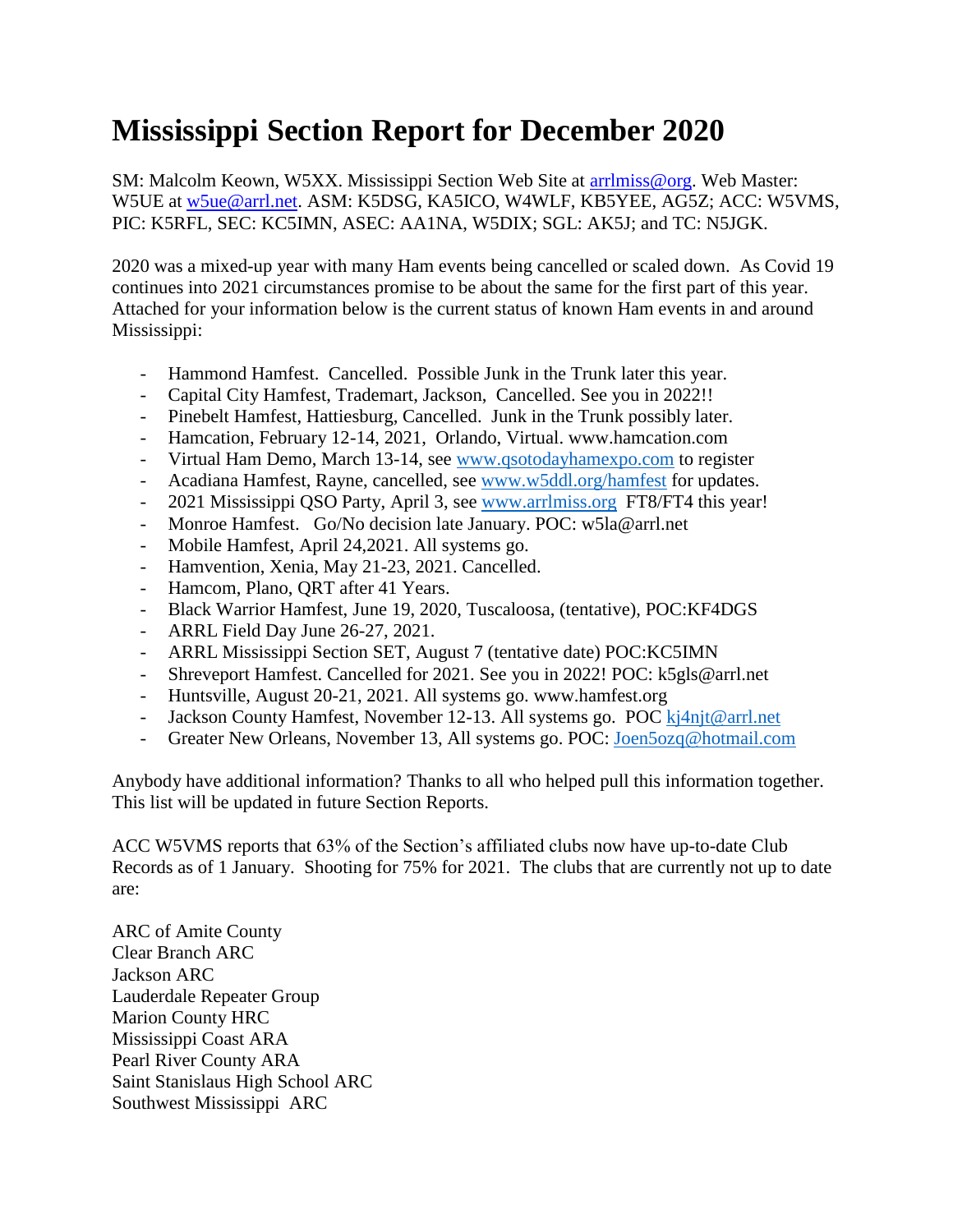## **Mississippi Section Report for December 2020**

SM: Malcolm Keown, W5XX. Mississippi Section Web Site at [arrlmiss@org.](mailto:arrlmiss@org) Web Master: W5UE at [w5ue@arrl.net.](mailto:w5ue@arrl.net) ASM: K5DSG, KA5ICO, W4WLF, KB5YEE, AG5Z; ACC: W5VMS, PIC: K5RFL, SEC: KC5IMN, ASEC: AA1NA, W5DIX; SGL: AK5J; and TC: N5JGK.

2020 was a mixed-up year with many Ham events being cancelled or scaled down. As Covid 19 continues into 2021 circumstances promise to be about the same for the first part of this year. Attached for your information below is the current status of known Ham events in and around Mississippi:

- Hammond Hamfest. Cancelled. Possible Junk in the Trunk later this year.
- Capital City Hamfest, Trademart, Jackson, Cancelled. See you in 2022!!
- Pinebelt Hamfest, Hattiesburg, Cancelled. Junk in the Trunk possibly later.
- Hamcation, February 12-14, 2021, Orlando, Virtual. www.hamcation.com
- Virtual Ham Demo, March 13-14, see [www.qsotodayhamexpo.com](http://www.qsotodayhamexpo.com/) to register
- Acadiana Hamfest, Rayne, cancelled, see [www.w5ddl.org/hamfest](http://www.w5ddl.org/hamfest) for updates.
- 2021 Mississippi QSO Party, April 3, see [www.arrlmiss.org](http://www.arrlmiss.org/) FT8/FT4 this year!
- Monroe Hamfest. Go/No decision late January. POC: w5la@arrl.net
- Mobile Hamfest, April 24,2021. All systems go.
- Hamvention, Xenia, May 21-23, 2021. Cancelled.
- Hamcom, Plano, QRT after 41 Years.
- Black Warrior Hamfest, June 19, 2020, Tuscaloosa, (tentative), POC:KF4DGS
- ARRL Field Day June 26-27, 2021.
- ARRL Mississippi Section SET, August 7 (tentative date) POC:KC5IMN
- Shreveport Hamfest. Cancelled for 2021. See you in 2022! POC: k5gls@arrl.net
- Huntsville, August 20-21, 2021. All systems go. www.hamfest.org
- Jackson County Hamfest, November 12-13. All systems go. POC  $k$ <sup>1</sup> $i$ <sup>1</sup> $j$  $j$  $k$  $j$  $j$  $k$  $j$  $j$
- Greater New Orleans, November 13, All systems go. POC: [Joen5ozq@hotmail.com](mailto:Joen5ozq@hotmail.com)

Anybody have additional information? Thanks to all who helped pull this information together. This list will be updated in future Section Reports.

ACC W5VMS reports that 63% of the Section's affiliated clubs now have up-to-date Club Records as of 1 January. Shooting for 75% for 2021. The clubs that are currently not up to date are:

ARC of Amite County Clear Branch ARC Jackson ARC Lauderdale Repeater Group Marion County HRC Mississippi Coast ARA Pearl River County ARA Saint Stanislaus High School ARC Southwest Mississippi ARC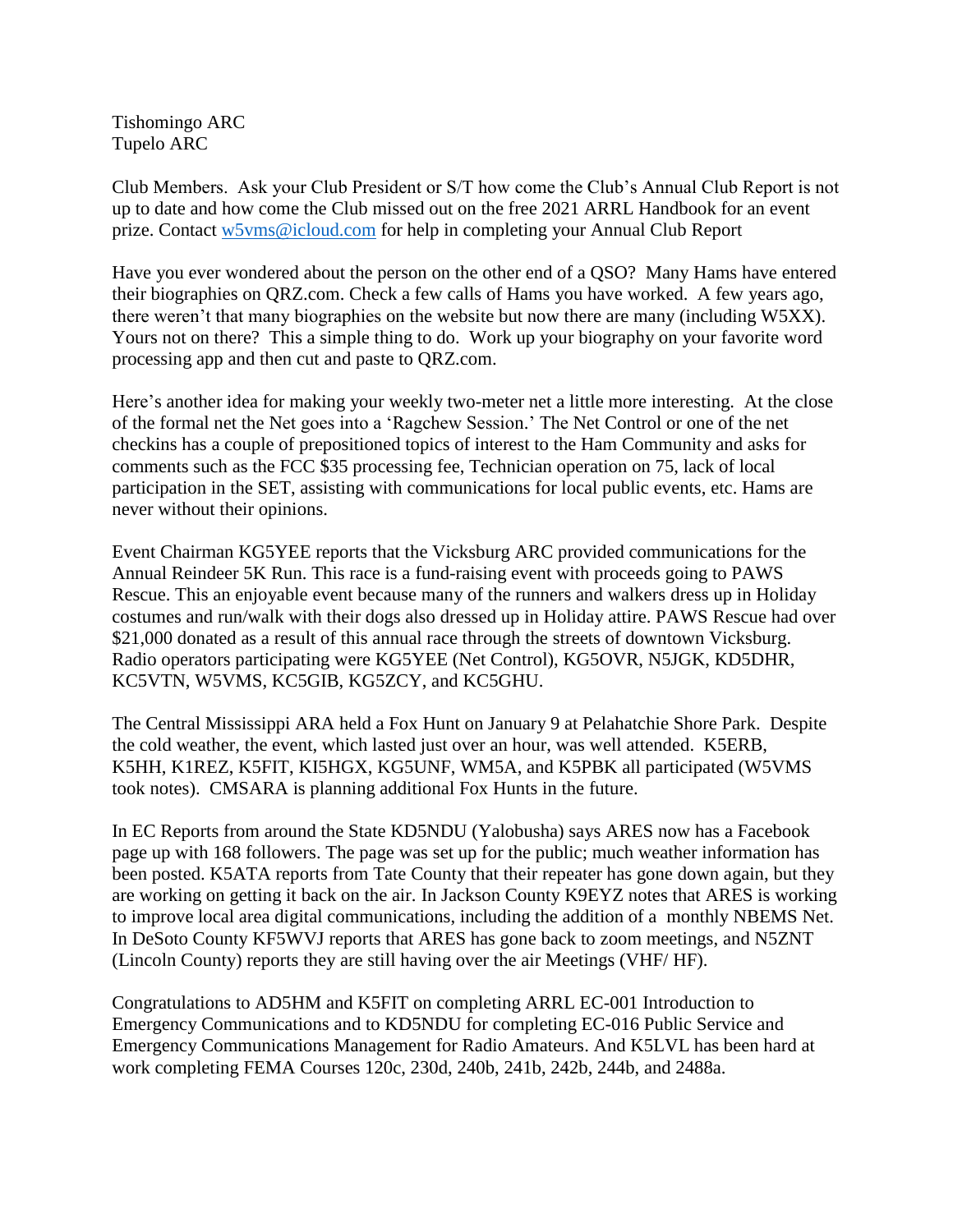Tishomingo ARC Tupelo ARC

Club Members. Ask your Club President or S/T how come the Club's Annual Club Report is not up to date and how come the Club missed out on the free 2021 ARRL Handbook for an event prize. Contact [w5vms@icloud.com](mailto:w5vms@icloud.com) for help in completing your Annual Club Report

Have you ever wondered about the person on the other end of a QSO? Many Hams have entered their biographies on QRZ.com. Check a few calls of Hams you have worked. A few years ago, there weren't that many biographies on the website but now there are many (including W5XX). Yours not on there? This a simple thing to do. Work up your biography on your favorite word processing app and then cut and paste to QRZ.com.

Here's another idea for making your weekly two-meter net a little more interesting. At the close of the formal net the Net goes into a 'Ragchew Session.' The Net Control or one of the net checkins has a couple of prepositioned topics of interest to the Ham Community and asks for comments such as the FCC \$35 processing fee, Technician operation on 75, lack of local participation in the SET, assisting with communications for local public events, etc. Hams are never without their opinions.

Event Chairman KG5YEE reports that the Vicksburg ARC provided communications for the Annual Reindeer 5K Run. This race is a fund-raising event with proceeds going to PAWS Rescue. This an enjoyable event because many of the runners and walkers dress up in Holiday costumes and run/walk with their dogs also dressed up in Holiday attire. PAWS Rescue had over \$21,000 donated as a result of this annual race through the streets of downtown Vicksburg. Radio operators participating were KG5YEE (Net Control), KG5OVR, N5JGK, KD5DHR, KC5VTN, W5VMS, KC5GIB, KG5ZCY, and KC5GHU.

The Central Mississippi ARA held a Fox Hunt on January 9 at Pelahatchie Shore Park. Despite the cold weather, the event, which lasted just over an hour, was well attended. K5ERB, K5HH, K1REZ, K5FIT, KI5HGX, KG5UNF, WM5A, and K5PBK all participated (W5VMS took notes). CMSARA is planning additional Fox Hunts in the future.

In EC Reports from around the State KD5NDU (Yalobusha) says ARES now has a Facebook page up with 168 followers. The page was set up for the public; much weather information has been posted. K5ATA reports from Tate County that their repeater has gone down again, but they are working on getting it back on the air. In Jackson County K9EYZ notes that ARES is working to improve local area digital communications, including the addition of a monthly NBEMS Net. In DeSoto County KF5WVJ reports that ARES has gone back to zoom meetings, and N5ZNT (Lincoln County) reports they are still having over the air Meetings (VHF/ HF).

Congratulations to AD5HM and K5FIT on completing ARRL EC-001 Introduction to Emergency Communications and to KD5NDU for completing EC-016 Public Service and Emergency Communications Management for Radio Amateurs. And K5LVL has been hard at work completing FEMA Courses 120c, 230d, 240b, 241b, 242b, 244b, and 2488a.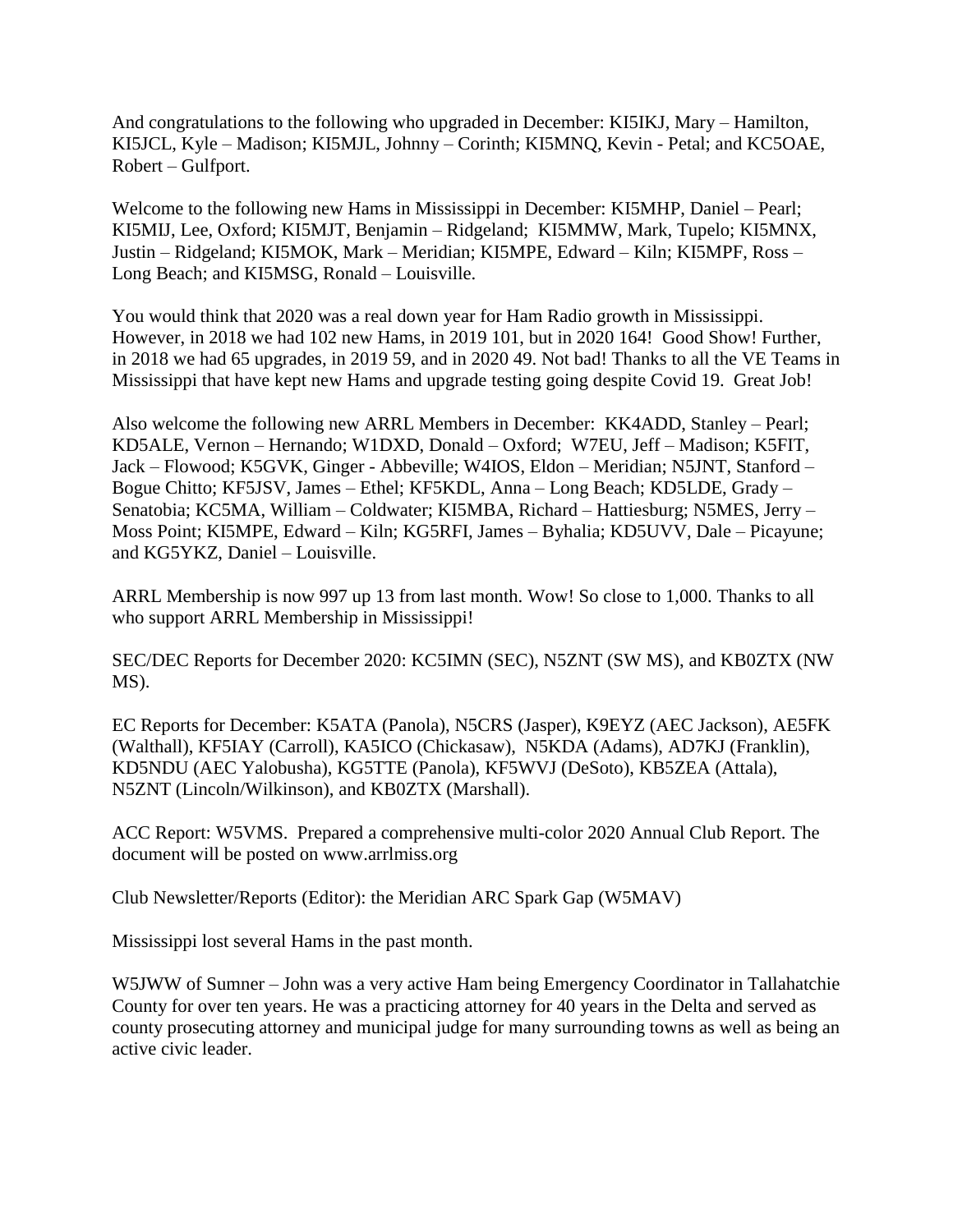And congratulations to the following who upgraded in December: KI5IKJ, Mary – Hamilton, KI5JCL, Kyle – Madison; KI5MJL, Johnny – Corinth; KI5MNQ, Kevin - Petal; and KC5OAE, Robert – Gulfport.

Welcome to the following new Hams in Mississippi in December: KI5MHP, Daniel – Pearl; KI5MIJ, Lee, Oxford; KI5MJT, Benjamin – Ridgeland; KI5MMW, Mark, Tupelo; KI5MNX, Justin – Ridgeland; KI5MOK, Mark – Meridian; KI5MPE, Edward – Kiln; KI5MPF, Ross – Long Beach; and KI5MSG, Ronald – Louisville.

You would think that 2020 was a real down year for Ham Radio growth in Mississippi. However, in 2018 we had 102 new Hams, in 2019 101, but in 2020 164! Good Show! Further, in 2018 we had 65 upgrades, in 2019 59, and in 2020 49. Not bad! Thanks to all the VE Teams in Mississippi that have kept new Hams and upgrade testing going despite Covid 19. Great Job!

Also welcome the following new ARRL Members in December: KK4ADD, Stanley – Pearl; KD5ALE, Vernon – Hernando; W1DXD, Donald – Oxford; W7EU, Jeff – Madison; K5FIT, Jack – Flowood; K5GVK, Ginger - Abbeville; W4IOS, Eldon – Meridian; N5JNT, Stanford – Bogue Chitto; KF5JSV, James – Ethel; KF5KDL, Anna – Long Beach; KD5LDE, Grady – Senatobia; KC5MA, William – Coldwater; KI5MBA, Richard – Hattiesburg; N5MES, Jerry – Moss Point; KI5MPE, Edward – Kiln; KG5RFI, James – Byhalia; KD5UVV, Dale – Picayune; and KG5YKZ, Daniel – Louisville.

ARRL Membership is now 997 up 13 from last month. Wow! So close to 1,000. Thanks to all who support ARRL Membership in Mississippi!

SEC/DEC Reports for December 2020: KC5IMN (SEC), N5ZNT (SW MS), and KB0ZTX (NW MS).

EC Reports for December: K5ATA (Panola), N5CRS (Jasper), K9EYZ (AEC Jackson), AE5FK (Walthall), KF5IAY (Carroll), KA5ICO (Chickasaw), N5KDA (Adams), AD7KJ (Franklin), KD5NDU (AEC Yalobusha), KG5TTE (Panola), KF5WVJ (DeSoto), KB5ZEA (Attala), N5ZNT (Lincoln/Wilkinson), and KB0ZTX (Marshall).

ACC Report: W5VMS. Prepared a comprehensive multi-color 2020 Annual Club Report. The document will be posted on www.arrlmiss.org

Club Newsletter/Reports (Editor): the Meridian ARC Spark Gap (W5MAV)

Mississippi lost several Hams in the past month.

W5JWW of Sumner – John was a very active Ham being Emergency Coordinator in Tallahatchie County for over ten years. He was a practicing attorney for 40 years in the Delta and served as county prosecuting attorney and municipal judge for many surrounding towns as well as being an active civic leader.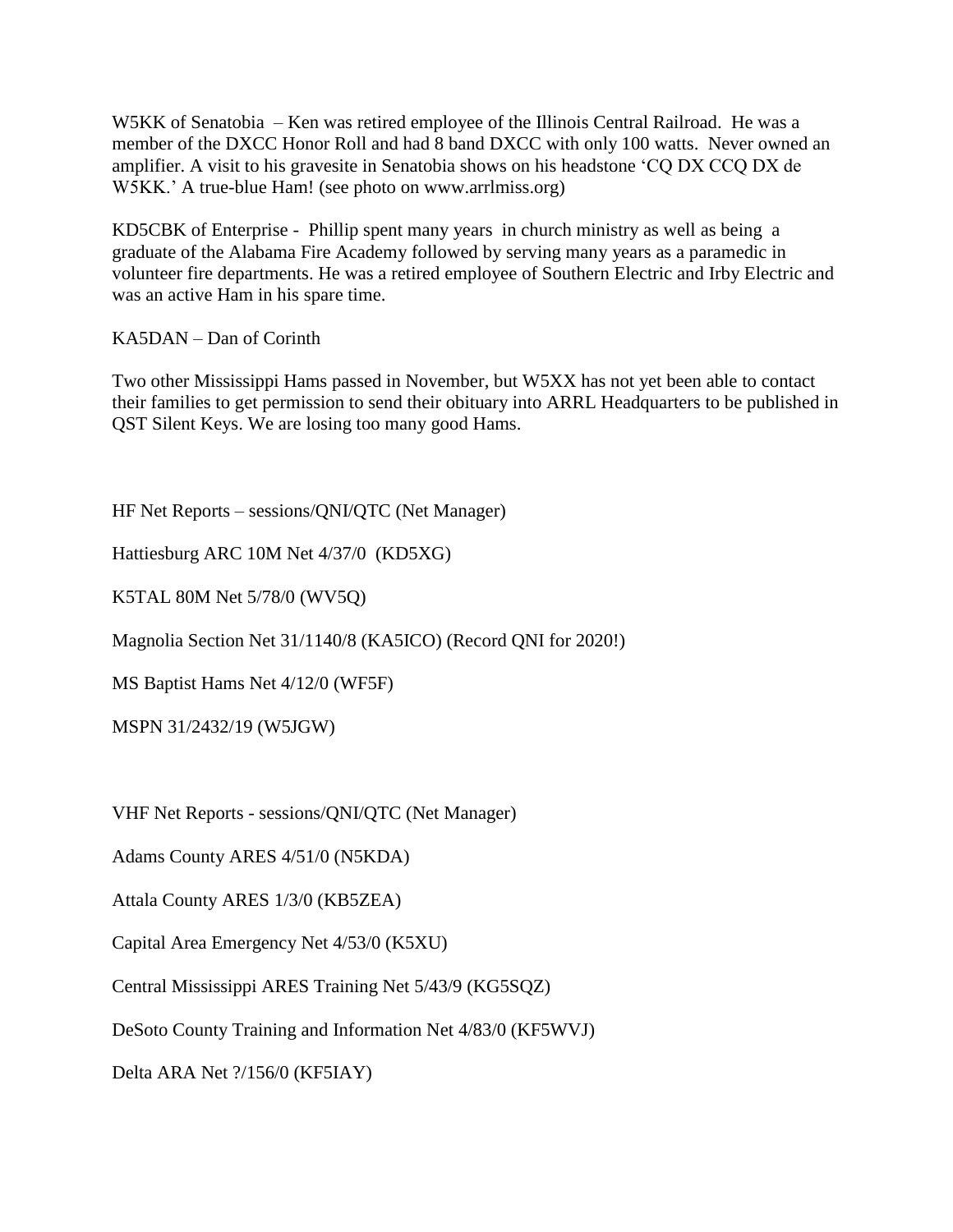W5KK of Senatobia – Ken was retired employee of the Illinois Central Railroad. He was a member of the DXCC Honor Roll and had 8 band DXCC with only 100 watts. Never owned an amplifier. A visit to his gravesite in Senatobia shows on his headstone 'CQ DX CCQ DX de W5KK.' A true-blue Ham! (see photo on www.arrlmiss.org)

KD5CBK of Enterprise - Phillip spent many years in church ministry as well as being a graduate of the Alabama Fire Academy followed by serving many years as a paramedic in volunteer fire departments. He was a retired employee of Southern Electric and Irby Electric and was an active Ham in his spare time.

KA5DAN – Dan of Corinth

Two other Mississippi Hams passed in November, but W5XX has not yet been able to contact their families to get permission to send their obituary into ARRL Headquarters to be published in QST Silent Keys. We are losing too many good Hams.

HF Net Reports – sessions/QNI/QTC (Net Manager)

Hattiesburg ARC 10M Net 4/37/0 (KD5XG)

K5TAL 80M Net 5/78/0 (WV5Q)

Magnolia Section Net 31/1140/8 (KA5ICO) (Record QNI for 2020!)

MS Baptist Hams Net 4/12/0 (WF5F)

MSPN 31/2432/19 (W5JGW)

VHF Net Reports - sessions/QNI/QTC (Net Manager)

Adams County ARES 4/51/0 (N5KDA)

Attala County ARES 1/3/0 (KB5ZEA)

Capital Area Emergency Net 4/53/0 (K5XU)

Central Mississippi ARES Training Net 5/43/9 (KG5SQZ)

DeSoto County Training and Information Net 4/83/0 (KF5WVJ)

Delta ARA Net ?/156/0 (KF5IAY)